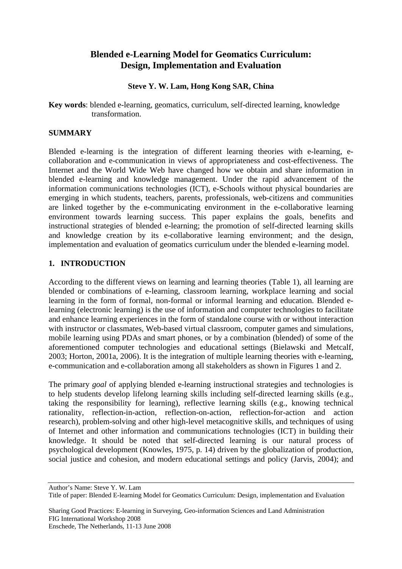# **Blended e-Learning Model for Geomatics Curriculum: Design, Implementation and Evaluation**

### **Steve Y. W. Lam, Hong Kong SAR, China**

**Key words**: blended e-learning, geomatics, curriculum, self-directed learning, knowledge transformation.

#### **SUMMARY**

Blended e-learning is the integration of different learning theories with e-learning, ecollaboration and e-communication in views of appropriateness and cost-effectiveness. The Internet and the World Wide Web have changed how we obtain and share information in blended e-learning and knowledge management. Under the rapid advancement of the information communications technologies (ICT), e-Schools without physical boundaries are emerging in which students, teachers, parents, professionals, web-citizens and communities are linked together by the e-communicating environment in the e-collaborative learning environment towards learning success. This paper explains the goals, benefits and instructional strategies of blended e-learning; the promotion of self-directed learning skills and knowledge creation by its e-collaborative learning environment; and the design, implementation and evaluation of geomatics curriculum under the blended e-learning model.

#### **1. INTRODUCTION**

According to the different views on learning and learning theories (Table 1), all learning are blended or combinations of e-learning, classroom learning, workplace learning and social learning in the form of formal, non-formal or informal learning and education. Blended elearning (electronic learning) is the use of information and computer technologies to facilitate and enhance learning experiences in the form of standalone course with or without interaction with instructor or classmates, Web-based virtual classroom, computer games and simulations, mobile learning using PDAs and smart phones, or by a combination (blended) of some of the aforementioned computer technologies and educational settings (Bielawski and Metcalf, 2003; Horton, 2001a, 2006). It is the integration of multiple learning theories with e-learning, e-communication and e-collaboration among all stakeholders as shown in Figures 1 and 2.

The primary *goal* of applying blended e-learning instructional strategies and technologies is to help students develop lifelong learning skills including self-directed learning skills (e.g., taking the responsibility for learning), reflective learning skills (e.g., knowing technical rationality, reflection-in-action, reflection-on-action, reflection-for-action and action research), problem-solving and other high-level metacognitive skills, and techniques of using of Internet and other information and communications technologies (ICT) in building their knowledge. It should be noted that self-directed learning is our natural process of psychological development (Knowles, 1975, p. 14) driven by the globalization of production, social justice and cohesion, and modern educational settings and policy (Jarvis, 2004); and

Author's Name: Steve Y. W. Lam

Title of paper: Blended E-learning Model for Geomatics Curriculum: Design, implementation and Evaluation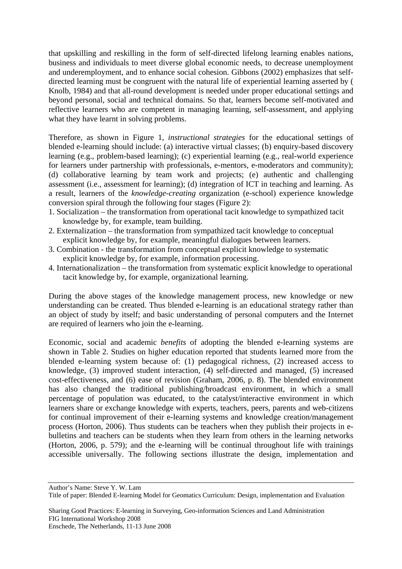that upskilling and reskilling in the form of self-directed lifelong learning enables nations, business and individuals to meet diverse global economic needs, to decrease unemployment and underemployment, and to enhance social cohesion. Gibbons (2002) emphasizes that selfdirected learning must be congruent with the natural life of experiential learning asserted by ( Knolb, 1984) and that all-round development is needed under proper educational settings and beyond personal, social and technical domains. So that, learners become self-motivated and reflective learners who are competent in managing learning, self-assessment, and applying what they have learnt in solving problems.

Therefore, as shown in Figure 1, *instructional strategies* for the educational settings of blended e-learning should include: (a) interactive virtual classes; (b) enquiry-based discovery learning (e.g., problem-based learning); (c) experiential learning (e.g., real-world experience for learners under partnership with professionals, e-mentors, e-moderators and community); (d) collaborative learning by team work and projects; (e) authentic and challenging assessment (i.e., assessment for learning); (d) integration of ICT in teaching and learning. As a result, learners of the *knowledge-creating* organization (e-school) experience knowledge conversion spiral through the following four stages (Figure 2):

- 1. Socialization the transformation from operational tacit knowledge to sympathized tacit knowledge by, for example, team building.
- 2. Externalization the transformation from sympathized tacit knowledge to conceptual explicit knowledge by, for example, meaningful dialogues between learners.
- 3. Combination the transformation from conceptual explicit knowledge to systematic explicit knowledge by, for example, information processing.
- 4. Internationalization the transformation from systematic explicit knowledge to operational tacit knowledge by, for example, organizational learning.

During the above stages of the knowledge management process, new knowledge or new understanding can be created. Thus blended e-learning is an educational strategy rather than an object of study by itself; and basic understanding of personal computers and the Internet are required of learners who join the e-learning.

Economic, social and academic *benefits* of adopting the blended e-learning systems are shown in Table 2. Studies on higher education reported that students learned more from the blended e-learning system because of: (1) pedagogical richness, (2) increased access to knowledge, (3) improved student interaction, (4) self-directed and managed, (5) increased cost-effectiveness, and (6) ease of revision (Graham, 2006, p. 8). The blended environment has also changed the traditional publishing/broadcast environment, in which a small percentage of population was educated, to the catalyst/interactive environment in which learners share or exchange knowledge with experts, teachers, peers, parents and web-citizens for continual improvement of their e-learning systems and knowledge creation/management process (Horton, 2006). Thus students can be teachers when they publish their projects in ebulletins and teachers can be students when they learn from others in the learning networks (Horton, 2006, p. 579); and the e-learning will be continual throughout life with trainings accessible universally. The following sections illustrate the design, implementation and

Author's Name: Steve Y. W. Lam

Title of paper: Blended E-learning Model for Geomatics Curriculum: Design, implementation and Evaluation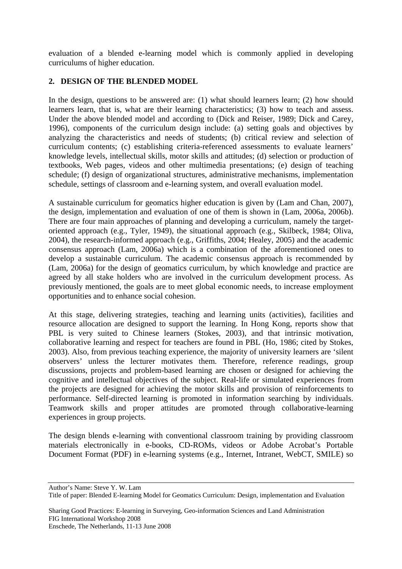evaluation of a blended e-learning model which is commonly applied in developing curriculums of higher education.

# **2. DESIGN OF THE BLENDED MODEL**

In the design, questions to be answered are: (1) what should learners learn; (2) how should learners learn, that is, what are their learning characteristics; (3) how to teach and assess. Under the above blended model and according to (Dick and Reiser, 1989; Dick and Carey, 1996), components of the curriculum design include: (a) setting goals and objectives by analyzing the characteristics and needs of students; (b) critical review and selection of curriculum contents; (c) establishing criteria-referenced assessments to evaluate learners' knowledge levels, intellectual skills, motor skills and attitudes; (d) selection or production of textbooks, Web pages, videos and other multimedia presentations; (e) design of teaching schedule; (f) design of organizational structures, administrative mechanisms, implementation schedule, settings of classroom and e-learning system, and overall evaluation model.

A sustainable curriculum for geomatics higher education is given by (Lam and Chan, 2007), the design, implementation and evaluation of one of them is shown in (Lam, 2006a, 2006b). There are four main approaches of planning and developing a curriculum, namely the targetoriented approach (e.g., Tyler, 1949), the situational approach (e.g., Skilbeck, 1984; Oliva, 2004), the research-informed approach (e.g., Griffiths, 2004; Healey, 2005) and the academic consensus approach (Lam, 2006a) which is a combination of the aforementioned ones to develop a sustainable curriculum. The academic consensus approach is recommended by (Lam, 2006a) for the design of geomatics curriculum, by which knowledge and practice are agreed by all stake holders who are involved in the curriculum development process. As previously mentioned, the goals are to meet global economic needs, to increase employment opportunities and to enhance social cohesion.

At this stage, delivering strategies, teaching and learning units (activities), facilities and resource allocation are designed to support the learning. In Hong Kong, reports show that PBL is very suited to Chinese learners (Stokes, 2003), and that intrinsic motivation, collaborative learning and respect for teachers are found in PBL (Ho, 1986; cited by Stokes, 2003). Also, from previous teaching experience, the majority of university learners are 'silent observers' unless the lecturer motivates them. Therefore, reference readings, group discussions, projects and problem-based learning are chosen or designed for achieving the cognitive and intellectual objectives of the subject. Real-life or simulated experiences from the projects are designed for achieving the motor skills and provision of reinforcements to performance. Self-directed learning is promoted in information searching by individuals. Teamwork skills and proper attitudes are promoted through collaborative-learning experiences in group projects.

The design blends e-learning with conventional classroom training by providing classroom materials electronically in e-books, CD-ROMs, videos or Adobe Acrobat's Portable Document Format (PDF) in e-learning systems (e.g., Internet, Intranet, WebCT, SMILE) so

Sharing Good Practices: E-learning in Surveying, Geo-information Sciences and Land Administration FIG International Workshop 2008

Author's Name: Steve Y. W. Lam

Title of paper: Blended E-learning Model for Geomatics Curriculum: Design, implementation and Evaluation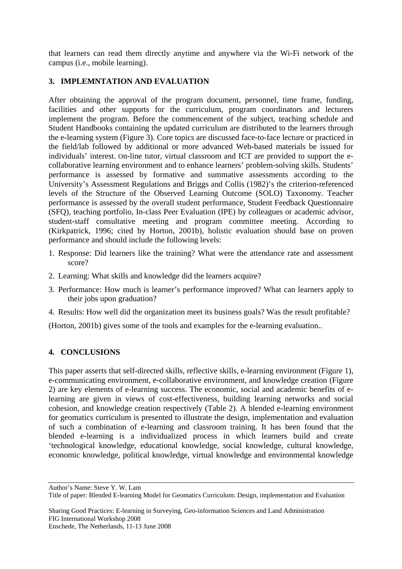that learners can read them directly anytime and anywhere via the Wi-Fi network of the campus (i.e., mobile learning).

# **3. IMPLEMNTATION AND EVALUATION**

After obtaining the approval of the program document, personnel, time frame, funding, facilities and other supports for the curriculum, program coordinators and lecturers implement the program. Before the commencement of the subject, teaching schedule and Student Handbooks containing the updated curriculum are distributed to the learners through the e-learning system (Figure 3). Core topics are discussed face-to-face lecture or practiced in the field/lab followed by additional or more advanced Web-based materials be issued for individuals' interest. On-line tutor, virtual classroom and ICT are provided to support the ecollaborative learning environment and to enhance learners' problem-solving skills. Students' performance is assessed by formative and summative assessments according to the University's Assessment Regulations and Briggs and Collis (1982)'s the criterion-referenced levels of the Structure of the Observed Learning Outcome (SOLO) Taxonomy. Teacher performance is assessed by the overall student performance, Student Feedback Questionnaire (SFQ), teaching portfolio, In-class Peer Evaluation (IPE) by colleagues or academic advisor, student-staff consultative meeting and program committee meeting. According to (Kirkpatrick, 1996; cited by Horton, 2001b), holistic evaluation should base on proven performance and should include the following levels:

- 1. Response: Did learners like the training? What were the attendance rate and assessment score?
- 2. Learning: What skills and knowledge did the learners acquire?
- 3. Performance: How much is learner's performance improved? What can learners apply to their jobs upon graduation?
- 4. Results: How well did the organization meet its business goals? Was the result profitable?

(Horton, 2001b) gives some of the tools and examples for the e-learning evaluation..

# **4. CONCLUSIONS**

This paper asserts that self-directed skills, reflective skills, e-learning environment (Figure 1), e-communicating environment, e-collaborative environment, and knowledge creation (Figure 2) are key elements of e-learning success. The economic, social and academic benefits of elearning are given in views of cost-effectiveness, building learning networks and social cohesion, and knowledge creation respectively (Table 2). A blended e-learning environment for geomatics curriculum is presented to illustrate the design, implementation and evaluation of such a combination of e-learning and classroom training. It has been found that the blended e-learning is a individualized process in which learners build and create 'technological knowledge, educational knowledge, social knowledge, cultural knowledge, economic knowledge, political knowledge, virtual knowledge and environmental knowledge

Author's Name: Steve Y. W. Lam

Title of paper: Blended E-learning Model for Geomatics Curriculum: Design, implementation and Evaluation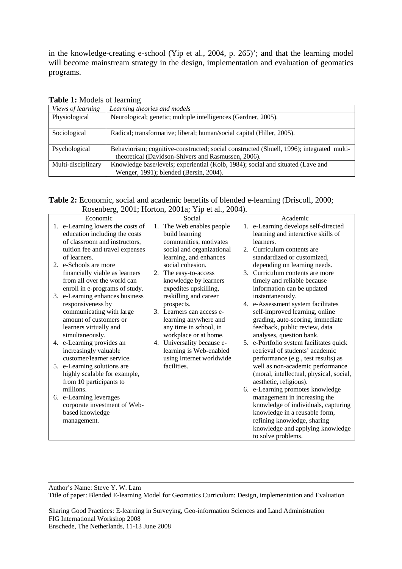in the knowledge-creating e-school (Yip et al., 2004, p. 265)'; and that the learning model will become mainstream strategy in the design, implementation and evaluation of geomatics programs.

| <b>rapic 1.</b> MOGCB OF ICALINIE |                                                                                                                                                 |  |
|-----------------------------------|-------------------------------------------------------------------------------------------------------------------------------------------------|--|
| Views of learning                 | Learning theories and models                                                                                                                    |  |
| Physiological                     | Neurological; genetic; multiple intelligences (Gardner, 2005).                                                                                  |  |
| Sociological                      | Radical; transformative; liberal; human/social capital (Hiller, 2005).                                                                          |  |
| Psychological                     | Behaviorism; cognitive-constructed; social constructed (Shuell, 1996); integrated multi-<br>theoretical (Davidson-Shivers and Rasmussen, 2006). |  |
| Multi-disciplinary                | Knowledge base/levels; experiential (Kolb, 1984); social and situated (Lave and<br>Wenger, 1991); blended (Bersin, 2004).                       |  |

#### **Table 1:** Models of learning

**Table 2:** Economic, social and academic benefits of blended e-learning (Driscoll, 2000; Rosenberg, 2001; Horton, 2001a; Yip et al., 2004).

| Economic                                                                                                                                                | Social                                                                                                                                       | Academic                                                                                                                                                                                      |
|---------------------------------------------------------------------------------------------------------------------------------------------------------|----------------------------------------------------------------------------------------------------------------------------------------------|-----------------------------------------------------------------------------------------------------------------------------------------------------------------------------------------------|
| 1. e-Learning lowers the costs of<br>education including the costs<br>of classroom and instructors,                                                     | 1. The Web enables people<br>build learning<br>communities, motivates                                                                        | 1. e-Learning develops self-directed<br>learning and interactive skills of<br>learners.                                                                                                       |
| tuition fee and travel expenses<br>of learners.<br>2. e-Schools are more                                                                                | social and organizational<br>learning, and enhances<br>social cohesion.                                                                      | 2. Curriculum contents are<br>standardized or customized,                                                                                                                                     |
| financially viable as learners<br>from all over the world can<br>enroll in e-programs of study.                                                         | 2. The easy-to-access<br>knowledge by learners<br>expedites upskilling,                                                                      | depending on learning needs.<br>3. Curriculum contents are more<br>timely and reliable because<br>information can be updated                                                                  |
| 3. e-Learning enhances business<br>responsiveness by<br>communicating with large<br>amount of customers or<br>learners virtually and<br>simultaneously. | reskilling and career<br>prospects.<br>3. Learners can access e-<br>learning anywhere and<br>any time in school, in<br>workplace or at home. | instantaneously.<br>4. e-Assessment system facilitates<br>self-improved learning, online<br>grading, auto-scoring, immediate<br>feedback, public review, data<br>analyses, question bank.     |
| 4. e-Learning provides an<br>increasingly valuable<br>customer/learner service.                                                                         | 4. Universality because e-<br>learning is Web-enabled<br>using Internet worldwide                                                            | 5. e-Portfolio system facilitates quick<br>retrieval of students' academic<br>performance (e.g., test results) as                                                                             |
| 5. e-Learning solutions are<br>highly scalable for example,<br>from 10 participants to<br>millions.                                                     | facilities.                                                                                                                                  | well as non-academic performance<br>(moral, intellectual, physical, social,<br>aesthetic, religious).<br>6. e-Learning promotes knowledge                                                     |
| 6. e-Learning leverages<br>corporate investment of Web-<br>based knowledge<br>management.                                                               |                                                                                                                                              | management in increasing the<br>knowledge of individuals, capturing<br>knowledge in a reusable form,<br>refining knowledge, sharing<br>knowledge and applying knowledge<br>to solve problems. |

Author's Name: Steve Y. W. Lam Title of paper: Blended E-learning Model for Geomatics Curriculum: Design, implementation and Evaluation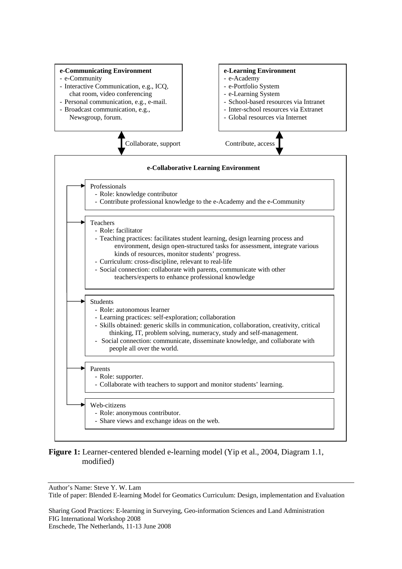

# **Figure 1:** Learner-centered blended e-learning model (Yip et al., 2004, Diagram 1.1, modified)

Author's Name: Steve Y. W. Lam

Title of paper: Blended E-learning Model for Geomatics Curriculum: Design, implementation and Evaluation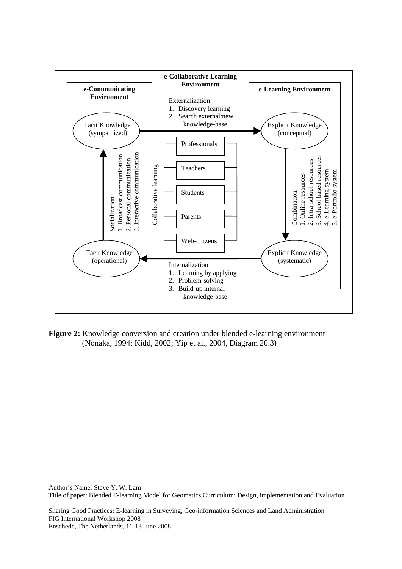

**Figure 2:** Knowledge conversion and creation under blended e-learning environment (Nonaka, 1994; Kidd, 2002; Yip et al., 2004, Diagram 20.3)

Author's Name: Steve Y. W. Lam Title of paper: Blended E-learning Model for Geomatics Curriculum: Design, implementation and Evaluation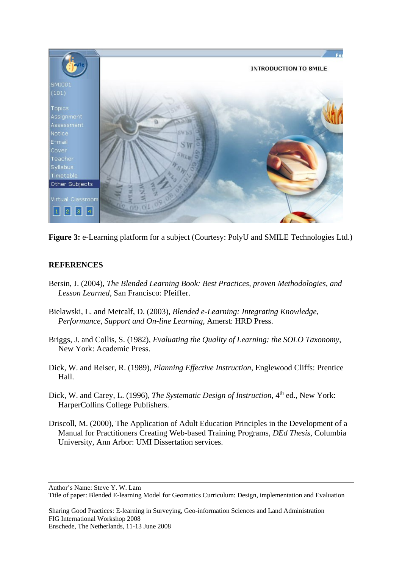

Figure 3: e-Learning platform for a subject (Courtesy: PolyU and SMILE Technologies Ltd.)

# **REFERENCES**

- Bersin, J. (2004), *The Blended Learning Book: Best Practices, proven Methodologies, and Lesson Learned,* San Francisco: Pfeiffer.
- Bielawski, L. and Metcalf, D. (2003), *Blended e-Learning: Integrating Knowledge, Performance, Support and On-line Learning,* Amerst: HRD Press.
- Briggs, J. and Collis, S. (1982), *Evaluating the Quality of Learning: the SOLO Taxonomy*, New York: Academic Press.
- Dick, W. and Reiser, R. (1989), *Planning Effective Instruction*, Englewood Cliffs: Prentice Hall.
- Dick, W. and Carey, L. (1996), *The Systematic Design of Instruction*, 4<sup>th</sup> ed., New York: HarperCollins College Publishers.
- Driscoll, M. (2000), The Application of Adult Education Principles in the Development of a Manual for Practitioners Creating Web-based Training Programs, *DEd Thesis*, Columbia University, Ann Arbor: UMI Dissertation services.

Author's Name: Steve Y. W. Lam

Sharing Good Practices: E-learning in Surveying, Geo-information Sciences and Land Administration FIG International Workshop 2008

Title of paper: Blended E-learning Model for Geomatics Curriculum: Design, implementation and Evaluation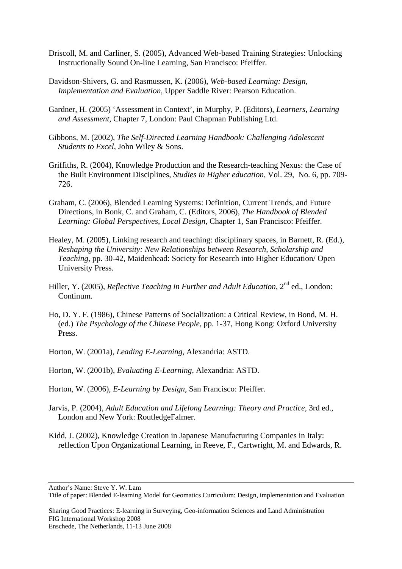- Driscoll, M. and Carliner, S. (2005), Advanced Web-based Training Strategies: Unlocking Instructionally Sound On-line Learning, San Francisco: Pfeiffer.
- Davidson-Shivers, G. and Rasmussen, K. (2006), *Web-based Learning: Design, Implementation and Evaluation,* Upper Saddle River: Pearson Education.
- Gardner, H. (2005) 'Assessment in Context', in Murphy, P. (Editors), *Learners, Learning and Assessment,* Chapter 7, London: Paul Chapman Publishing Ltd.
- Gibbons, M. (2002), *The Self-Directed Learning Handbook: Challenging Adolescent Students to Excel*, John Wiley & Sons.
- Griffiths, R. (2004), Knowledge Production and the Research-teaching Nexus: the Case of the Built Environment Disciplines, *Studies in Higher education*, Vol. 29, No. 6, pp. 709- 726.
- Graham, C. (2006), Blended Learning Systems: Definition, Current Trends, and Future Directions, in Bonk, C. and Graham, C. (Editors, 2006), *The Handbook of Blended Learning: Global Perspectives, Local Design,* Chapter 1, San Francisco: Pfeiffer.
- Healey, M. (2005), Linking research and teaching: disciplinary spaces, in Barnett, R. (Ed.), *Reshaping the University: New Relationships between Research, Scholarship and Teaching,* pp. 30-42, Maidenhead: Society for Research into Higher Education/ Open University Press.
- Hiller, Y. (2005), *Reflective Teaching in Further and Adult Education*, 2<sup>nd</sup> ed., London: Continum.
- Ho, D. Y. F. (1986), Chinese Patterns of Socialization: a Critical Review, in Bond, M. H. (ed.) *The Psychology of the Chinese People*, pp. 1-37*,* Hong Kong: Oxford University Press.
- Horton, W. (2001a), *Leading E-Learning*, Alexandria: ASTD.

Horton, W. (2001b), *Evaluating E-Learning*, Alexandria: ASTD.

- Horton, W. (2006), *E-Learning by Design*, San Francisco: Pfeiffer.
- Jarvis, P. (2004), *Adult Education and Lifelong Learning: Theory and Practice*, 3rd ed., London and New York: RoutledgeFalmer.
- Kidd, J. (2002), Knowledge Creation in Japanese Manufacturing Companies in Italy: reflection Upon Organizational Learning, in Reeve, F., Cartwright, M. and Edwards, R.

Sharing Good Practices: E-learning in Surveying, Geo-information Sciences and Land Administration FIG International Workshop 2008

Author's Name: Steve Y. W. Lam

Title of paper: Blended E-learning Model for Geomatics Curriculum: Design, implementation and Evaluation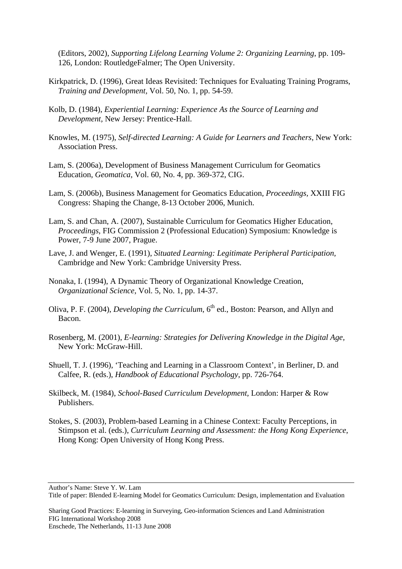(Editors, 2002), *Supporting Lifelong Learning Volume 2: Organizing Learning*, pp. 109- 126, London: RoutledgeFalmer; The Open University.

- Kirkpatrick, D. (1996), Great Ideas Revisited: Techniques for Evaluating Training Programs, *Training and Development,* Vol. 50, No. 1, pp. 54-59.
- Kolb, D. (1984), *Experiential Learning: Experience As the Source of Learning and Development,* New Jersey: Prentice-Hall.
- Knowles, M. (1975), *Self-directed Learning: A Guide for Learners and Teachers*, New York: Association Press.
- Lam, S. (2006a), Development of Business Management Curriculum for Geomatics Education, *Geomatica*, Vol. 60, No. 4, pp. 369-372, CIG.
- Lam, S. (2006b), Business Management for Geomatics Education, *Proceedings,* XXIII FIG Congress: Shaping the Change, 8-13 October 2006, Munich.
- Lam, S. and Chan, A. (2007), Sustainable Curriculum for Geomatics Higher Education, *Proceedings*, FIG Commission 2 (Professional Education) Symposium: Knowledge is Power, 7-9 June 2007, Prague.
- Lave, J. and Wenger, E. (1991), *Situated Learning: Legitimate Peripheral Participation,*  Cambridge and New York: Cambridge University Press.
- Nonaka, I. (1994), A Dynamic Theory of Organizational Knowledge Creation, *Organizational Science*, Vol. 5, No. 1, pp. 14-37.
- Oliva, P. F. (2004), *Developing the Curriculum*, 6<sup>th</sup> ed., Boston: Pearson, and Allyn and Bacon.
- Rosenberg, M. (2001), *E-learning: Strategies for Delivering Knowledge in the Digital Age,*  New York: McGraw-Hill.
- Shuell, T. J. (1996), 'Teaching and Learning in a Classroom Context', in Berliner, D. and Calfee, R. (eds.), *Handbook of Educational Psychology*, pp. 726-764.
- Skilbeck, M. (1984), *School-Based Curriculum Development,* London: Harper & Row Publishers.
- Stokes, S. (2003), Problem-based Learning in a Chinese Context: Faculty Perceptions, in Stimpson et al. (eds.), *Curriculum Learning and Assessment: the Hong Kong Experience*, Hong Kong: Open University of Hong Kong Press.

Sharing Good Practices: E-learning in Surveying, Geo-information Sciences and Land Administration FIG International Workshop 2008

Author's Name: Steve Y. W. Lam

Title of paper: Blended E-learning Model for Geomatics Curriculum: Design, implementation and Evaluation